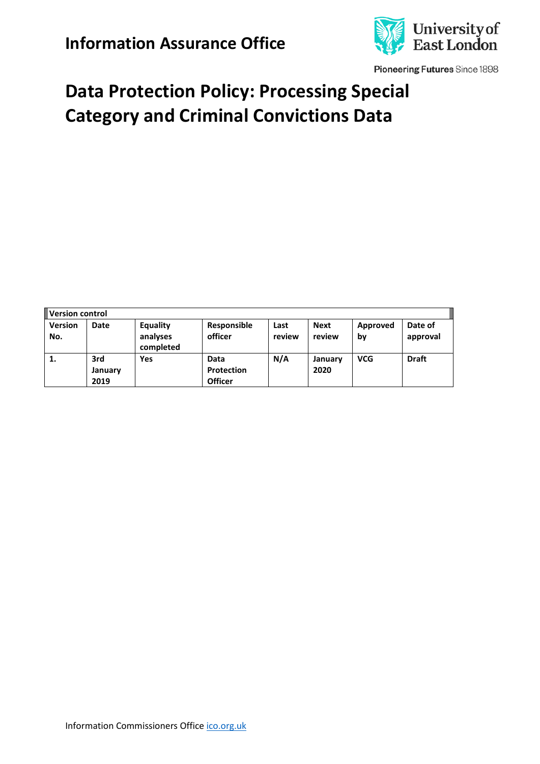

Pioneering Futures Since 1898

# **Data Protection Policy: Processing Special Category and Criminal Convictions Data**

| Version control       |                        |                                   |                                      |                |                       |                |                     |
|-----------------------|------------------------|-----------------------------------|--------------------------------------|----------------|-----------------------|----------------|---------------------|
| <b>Version</b><br>No. | Date                   | Equality<br>analyses<br>completed | Responsible<br>officer               | Last<br>review | <b>Next</b><br>review | Approved<br>by | Date of<br>approval |
| 1.                    | 3rd<br>January<br>2019 | Yes                               | Data<br>Protection<br><b>Officer</b> | N/A            | January<br>2020       | <b>VCG</b>     | <b>Draft</b>        |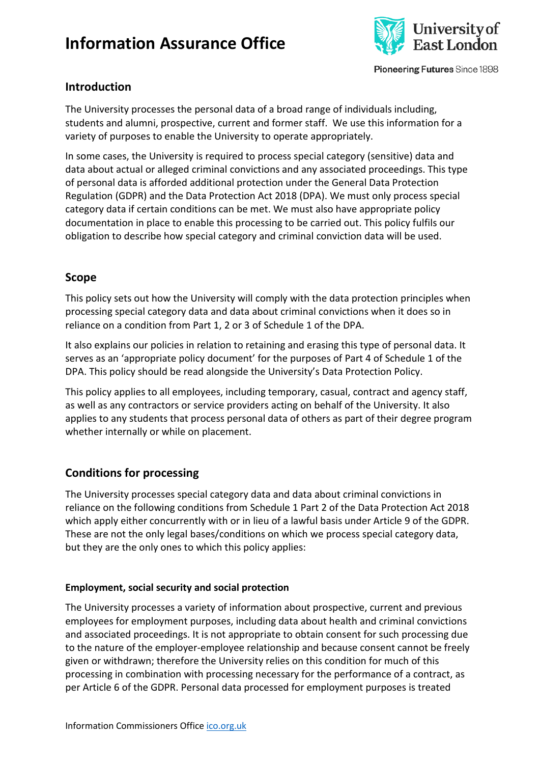

Pioneering Futures Since 1898

### **Introduction**

The University processes the personal data of a broad range of individuals including, students and alumni, prospective, current and former staff. We use this information for a variety of purposes to enable the University to operate appropriately.

In some cases, the University is required to process special category (sensitive) data and data about actual or alleged criminal convictions and any associated proceedings. This type of personal data is afforded additional protection under the General Data Protection Regulation (GDPR) and the Data Protection Act 2018 (DPA). We must only process special category data if certain conditions can be met. We must also have appropriate policy documentation in place to enable this processing to be carried out. This policy fulfils our obligation to describe how special category and criminal conviction data will be used.

### **Scope**

This policy sets out how the University will comply with the data protection principles when processing special category data and data about criminal convictions when it does so in reliance on a condition from Part 1, 2 or 3 of Schedule 1 of the DPA.

It also explains our policies in relation to retaining and erasing this type of personal data. It serves as an 'appropriate policy document' for the purposes of Part 4 of Schedule 1 of the DPA. This policy should be read alongside the University's Data Protection Policy.

This policy applies to all employees, including temporary, casual, contract and agency staff, as well as any contractors or service providers acting on behalf of the University. It also applies to any students that process personal data of others as part of their degree program whether internally or while on placement.

## **Conditions for processing**

The University processes special category data and data about criminal convictions in reliance on the following conditions from Schedule 1 Part 2 of the Data Protection Act 2018 which apply either concurrently with or in lieu of a lawful basis under Article 9 of the GDPR. These are not the only legal bases/conditions on which we process special category data, but they are the only ones to which this policy applies:

#### **Employment, social security and social protection**

The University processes a variety of information about prospective, current and previous employees for employment purposes, including data about health and criminal convictions and associated proceedings. It is not appropriate to obtain consent for such processing due to the nature of the employer-employee relationship and because consent cannot be freely given or withdrawn; therefore the University relies on this condition for much of this processing in combination with processing necessary for the performance of a contract, as per Article 6 of the GDPR. Personal data processed for employment purposes is treated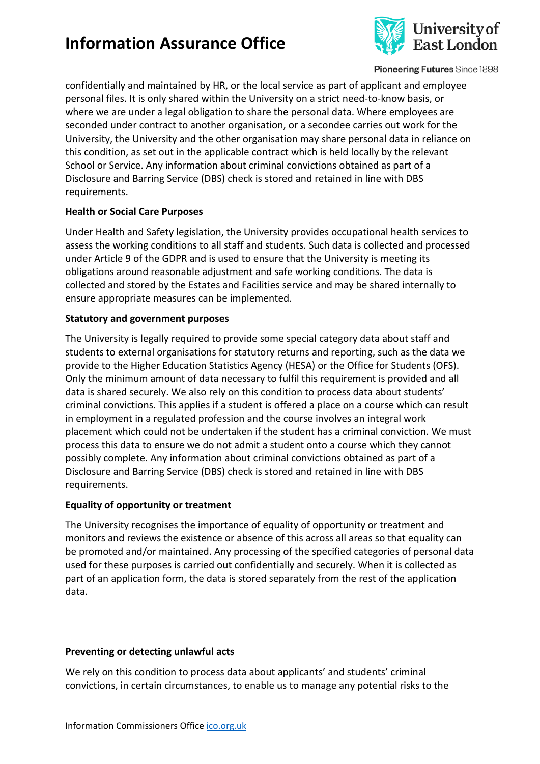

Pioneering Futures Since 1898

confidentially and maintained by HR, or the local service as part of applicant and employee personal files. It is only shared within the University on a strict need-to-know basis, or where we are under a legal obligation to share the personal data. Where employees are seconded under contract to another organisation, or a secondee carries out work for the University, the University and the other organisation may share personal data in reliance on this condition, as set out in the applicable contract which is held locally by the relevant School or Service. Any information about criminal convictions obtained as part of a Disclosure and Barring Service (DBS) check is stored and retained in line with DBS requirements.

#### **Health or Social Care Purposes**

Under Health and Safety legislation, the University provides occupational health services to assess the working conditions to all staff and students. Such data is collected and processed under Article 9 of the GDPR and is used to ensure that the University is meeting its obligations around reasonable adjustment and safe working conditions. The data is collected and stored by the Estates and Facilities service and may be shared internally to ensure appropriate measures can be implemented.

#### **Statutory and government purposes**

The University is legally required to provide some special category data about staff and students to external organisations for statutory returns and reporting, such as the data we provide to the Higher Education Statistics Agency (HESA) or the Office for Students (OFS). Only the minimum amount of data necessary to fulfil this requirement is provided and all data is shared securely. We also rely on this condition to process data about students' criminal convictions. This applies if a student is offered a place on a course which can result in employment in a regulated profession and the course involves an integral work placement which could not be undertaken if the student has a criminal conviction. We must process this data to ensure we do not admit a student onto a course which they cannot possibly complete. Any information about criminal convictions obtained as part of a Disclosure and Barring Service (DBS) check is stored and retained in line with DBS requirements.

#### **Equality of opportunity or treatment**

The University recognises the importance of equality of opportunity or treatment and monitors and reviews the existence or absence of this across all areas so that equality can be promoted and/or maintained. Any processing of the specified categories of personal data used for these purposes is carried out confidentially and securely. When it is collected as part of an application form, the data is stored separately from the rest of the application data.

#### **Preventing or detecting unlawful acts**

We rely on this condition to process data about applicants' and students' criminal convictions, in certain circumstances, to enable us to manage any potential risks to the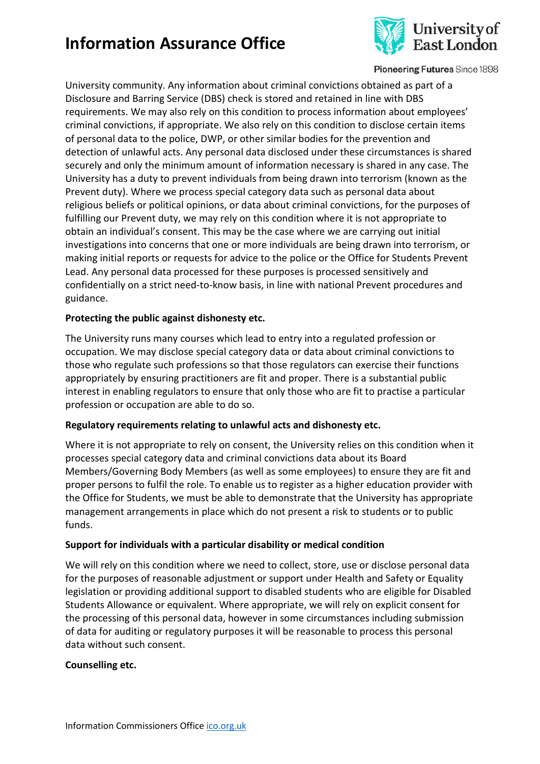

Pioneering Futures Since 1898

University community. Any information about criminal convictions obtained as part of a Disclosure and Barring Service (DBS) check is stored and retained in line with DBS requirements. We may also rely on this condition to process information about employees' criminal convictions, if appropriate. We also rely on this condition to disclose certain items of personal data to the police, DWP, or other similar bodies for the prevention and detection of unlawful acts. Any personal data disclosed under these circumstances is shared securely and only the minimum amount of information necessary is shared in any case. The University has a duty to prevent individuals from being drawn into terrorism (known as the Prevent duty). Where we process special category data such as personal data about religious beliefs or political opinions, or data about criminal convictions, for the purposes of fulfilling our Prevent duty, we may rely on this condition where it is not appropriate to obtain an individual's consent. This may be the case where we are carrying out initial investigations into concerns that one or more individuals are being drawn into terrorism, or making initial reports or requests for advice to the police or the Office for Students Prevent Lead. Any personal data processed for these purposes is processed sensitively and confidentially on a strict need-to-know basis, in line with national Prevent procedures and guidance.

#### **Protecting the public against dishonesty etc.**

The University runs many courses which lead to entry into a regulated profession or occupation. We may disclose special category data or data about criminal convictions to those who regulate such professions so that those regulators can exercise their functions appropriately by ensuring practitioners are fit and proper. There is a substantial public interest in enabling regulators to ensure that only those who are fit to practise a particular profession or occupation are able to do so.

#### **Regulatory requirements relating to unlawful acts and dishonesty etc.**

Where it is not appropriate to rely on consent, the University relies on this condition when it processes special category data and criminal convictions data about its Board Members/Governing Body Members (as well as some employees) to ensure they are fit and proper persons to fulfil the role. To enable us to register as a higher education provider with the Office for Students, we must be able to demonstrate that the University has appropriate management arrangements in place which do not present a risk to students or to public funds.

#### **Support for individuals with a particular disability or medical condition**

We will rely on this condition where we need to collect, store, use or disclose personal data for the purposes of reasonable adjustment or support under Health and Safety or Equality legislation or providing additional support to disabled students who are eligible for Disabled Students Allowance or equivalent. Where appropriate, we will rely on explicit consent for the processing of this personal data, however in some circumstances including submission of data for auditing or regulatory purposes it will be reasonable to process this personal data without such consent.

#### **Counselling etc.**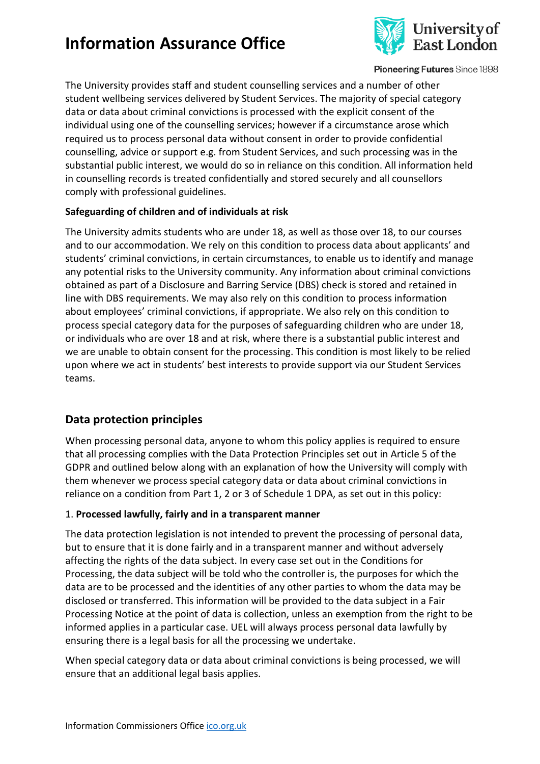

Pioneering Futures Since 1898

The University provides staff and student counselling services and a number of other student wellbeing services delivered by Student Services. The majority of special category data or data about criminal convictions is processed with the explicit consent of the individual using one of the counselling services; however if a circumstance arose which required us to process personal data without consent in order to provide confidential counselling, advice or support e.g. from Student Services, and such processing was in the substantial public interest, we would do so in reliance on this condition. All information held in counselling records is treated confidentially and stored securely and all counsellors comply with professional guidelines.

### **Safeguarding of children and of individuals at risk**

The University admits students who are under 18, as well as those over 18, to our courses and to our accommodation. We rely on this condition to process data about applicants' and students' criminal convictions, in certain circumstances, to enable us to identify and manage any potential risks to the University community. Any information about criminal convictions obtained as part of a Disclosure and Barring Service (DBS) check is stored and retained in line with DBS requirements. We may also rely on this condition to process information about employees' criminal convictions, if appropriate. We also rely on this condition to process special category data for the purposes of safeguarding children who are under 18, or individuals who are over 18 and at risk, where there is a substantial public interest and we are unable to obtain consent for the processing. This condition is most likely to be relied upon where we act in students' best interests to provide support via our Student Services teams.

## **Data protection principles**

When processing personal data, anyone to whom this policy applies is required to ensure that all processing complies with the Data Protection Principles set out in Article 5 of the GDPR and outlined below along with an explanation of how the University will comply with them whenever we process special category data or data about criminal convictions in reliance on a condition from Part 1, 2 or 3 of Schedule 1 DPA, as set out in this policy:

### 1. **Processed lawfully, fairly and in a transparent manner**

The data protection legislation is not intended to prevent the processing of personal data, but to ensure that it is done fairly and in a transparent manner and without adversely affecting the rights of the data subject. In every case set out in the Conditions for Processing, the data subject will be told who the controller is, the purposes for which the data are to be processed and the identities of any other parties to whom the data may be disclosed or transferred. This information will be provided to the data subject in a Fair Processing Notice at the point of data is collection, unless an exemption from the right to be informed applies in a particular case. UEL will always process personal data lawfully by ensuring there is a legal basis for all the processing we undertake.

When special category data or data about criminal convictions is being processed, we will ensure that an additional legal basis applies.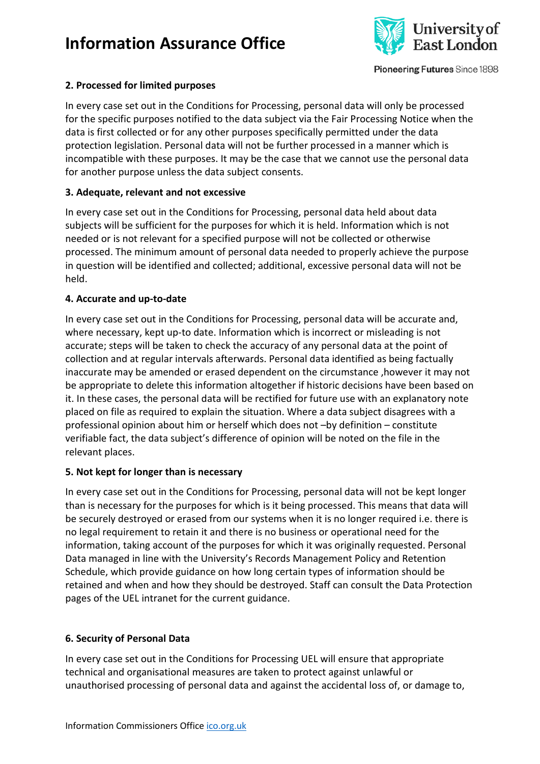

Pioneering Futures Since 1898

### **2. Processed for limited purposes**

In every case set out in the Conditions for Processing, personal data will only be processed for the specific purposes notified to the data subject via the Fair Processing Notice when the data is first collected or for any other purposes specifically permitted under the data protection legislation. Personal data will not be further processed in a manner which is incompatible with these purposes. It may be the case that we cannot use the personal data for another purpose unless the data subject consents.

#### **3. Adequate, relevant and not excessive**

In every case set out in the Conditions for Processing, personal data held about data subjects will be sufficient for the purposes for which it is held. Information which is not needed or is not relevant for a specified purpose will not be collected or otherwise processed. The minimum amount of personal data needed to properly achieve the purpose in question will be identified and collected; additional, excessive personal data will not be held.

#### **4. Accurate and up-to-date**

In every case set out in the Conditions for Processing, personal data will be accurate and, where necessary, kept up-to date. Information which is incorrect or misleading is not accurate; steps will be taken to check the accuracy of any personal data at the point of collection and at regular intervals afterwards. Personal data identified as being factually inaccurate may be amended or erased dependent on the circumstance ,however it may not be appropriate to delete this information altogether if historic decisions have been based on it. In these cases, the personal data will be rectified for future use with an explanatory note placed on file as required to explain the situation. Where a data subject disagrees with a professional opinion about him or herself which does not –by definition – constitute verifiable fact, the data subject's difference of opinion will be noted on the file in the relevant places.

#### **5. Not kept for longer than is necessary**

In every case set out in the Conditions for Processing, personal data will not be kept longer than is necessary for the purposes for which is it being processed. This means that data will be securely destroyed or erased from our systems when it is no longer required i.e. there is no legal requirement to retain it and there is no business or operational need for the information, taking account of the purposes for which it was originally requested. Personal Data managed in line with the University's Records Management Policy and Retention Schedule, which provide guidance on how long certain types of information should be retained and when and how they should be destroyed. Staff can consult the Data Protection pages of the UEL intranet for the current guidance.

#### **6. Security of Personal Data**

In every case set out in the Conditions for Processing UEL will ensure that appropriate technical and organisational measures are taken to protect against unlawful or unauthorised processing of personal data and against the accidental loss of, or damage to,